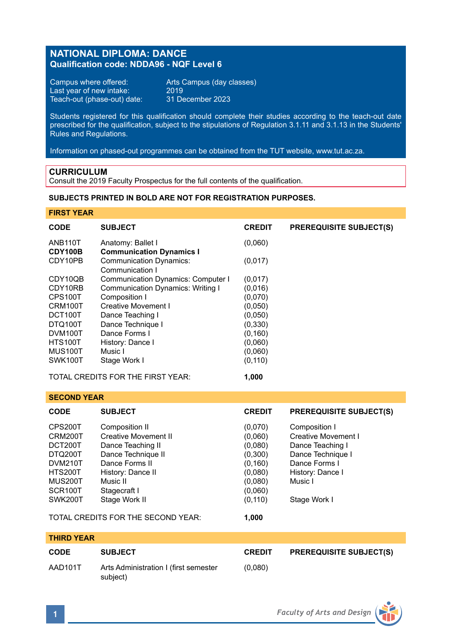## **NATIONAL DIPLOMA: DANCE Qualification code: NDDA96 - NQF Level 6**

Campus where offered: Arts Campus (day classes)<br>Last year of new intake: 2019 Last year of new intake: 2019<br>Teach-out (phase-out) date: 31 December 2023 Teach-out (phase-out) date:

Students registered for this qualification should complete their studies according to the teach-out date prescribed for the qualification, subject to the stipulations of Regulation 3.1.11 and 3.1.13 in the Students' Rules and Regulations.

Information on phased-out programmes can be obtained from the TUT website, www.tut.ac.za.

### **CURRICULUM**

Consult the 2019 Faculty Prospectus for the full contents of the qualification.

### **SUBJECTS PRINTED IN BOLD ARE NOT FOR REGISTRATION PURPOSES.**

**FIRST YEAR**

| <b>CODE</b>          | <b>SUBJECT</b>                                    | <b>CREDIT</b> | <b>PREREQUISITE SUBJECT(S)</b> |
|----------------------|---------------------------------------------------|---------------|--------------------------------|
| ANB <sub>110</sub> T | Anatomy: Ballet I                                 | (0,060)       |                                |
| CDY100B              | <b>Communication Dynamics I</b>                   |               |                                |
| CDY10PB              | <b>Communication Dynamics:</b><br>Communication I | (0,017)       |                                |
| CDY10QB              | <b>Communication Dynamics: Computer I</b>         | (0,017)       |                                |
| CDY10RB              | <b>Communication Dynamics: Writing I</b>          | (0,016)       |                                |
| CPS100T              | Composition I                                     | (0,070)       |                                |
| CRM100T              | Creative Movement I                               | (0,050)       |                                |
| DCT100T              | Dance Teaching I                                  | (0,050)       |                                |
| DTQ100T              | Dance Technique I                                 | (0, 330)      |                                |
| DVM100T              | Dance Forms I                                     | (0, 160)      |                                |
| HTS100T              | History: Dance I                                  | (0,060)       |                                |
| <b>MUS100T</b>       | Music I                                           | (0,060)       |                                |
| SWK100T              | Stage Work I                                      | (0, 110)      |                                |
|                      | TOTAL CREDITS FOR THE FIRST YEAR:                 | 1.000         |                                |

**SECOND YEAR**

| <b>CODE</b>    | <b>SUBJECT</b>                     | <b>CREDIT</b> | <b>PREREQUISITE SUBJECT(S)</b> |
|----------------|------------------------------------|---------------|--------------------------------|
| CPS200T        | Composition II                     | (0,070)       | Composition I                  |
| CRM200T        | Creative Movement II               | (0,060)       | Creative Movement I            |
| DCT200T        | Dance Teaching II                  | (0,080)       | Dance Teaching I               |
| DTQ200T        | Dance Technique II                 | (0,300)       | Dance Technique I              |
| DVM210T        | Dance Forms II                     | (0, 160)      | Dance Forms I                  |
| <b>HTS200T</b> | History: Dance II                  | (0,080)       | History: Dance I               |
| <b>MUS200T</b> | Music II                           | (0.080)       | Music I                        |
| SCR100T        | Stagecraft I                       | (0,060)       |                                |
| SWK200T        | Stage Work II                      | (0, 110)      | Stage Work I                   |
|                | TOTAL CREDITS FOR THE SECOND YEAR: | 1.000         |                                |

# **THIRD YEAR CODE SUBJECT CREDIT PREREQUISITE SUBJECT(S)** AAD101T Arts Administration I (first semester (0,080) subject)

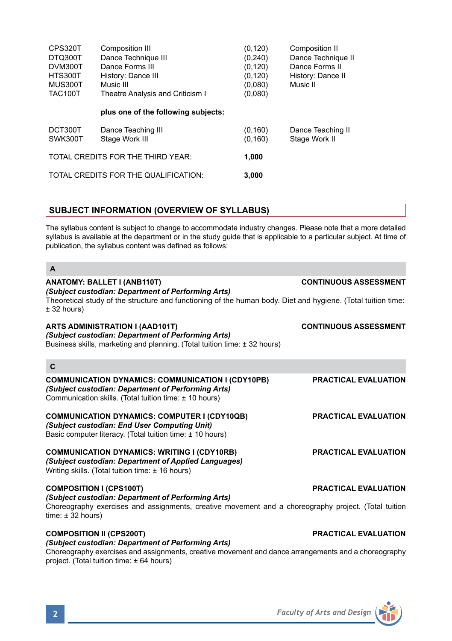| CPS320T            | Composition III                      | (0, 120)            | Composition II                     |
|--------------------|--------------------------------------|---------------------|------------------------------------|
| DTQ300T            | Dance Technique III                  | (0, 240)            | Dance Technique II                 |
| DVM300T            | Dance Forms III                      | (0, 120)            | Dance Forms II                     |
| HTS300T            | History: Dance III                   | (0, 120)            | History: Dance II                  |
| MUS300T            | Music III                            | (0,080)             | Music II                           |
| <b>TAC100T</b>     | Theatre Analysis and Criticism I     | (0,080)             |                                    |
|                    | plus one of the following subjects:  |                     |                                    |
| DCT300T<br>SWK300T | Dance Teaching III<br>Stage Work III | (0, 160)<br>(0.160) | Dance Teaching II<br>Stage Work II |
|                    | TOTAL CREDITS FOR THE THIRD YEAR:    | 1.000               |                                    |
|                    | TOTAL CREDITS FOR THE QUALIFICATION: | 3.000               |                                    |
|                    |                                      |                     |                                    |

## **SUBJECT INFORMATION (OVERVIEW OF SYLLABUS)**

The syllabus content is subject to change to accommodate industry changes. Please note that a more detailed syllabus is available at the department or in the study guide that is applicable to a particular subject. At time of publication, the syllabus content was defined as follows:

| ANATOMY: BALLET I (ANB110T)<br>(Subject custodian: Department of Performing Arts)                                                                                                                                     | <b>CONTINUOUS ASSESSMENT</b> |
|-----------------------------------------------------------------------------------------------------------------------------------------------------------------------------------------------------------------------|------------------------------|
| Theoretical study of the structure and functioning of the human body. Diet and hygiene. (Total tuition time:<br>± 32 hours)                                                                                           |                              |
| ARTS ADMINISTRATION I (AAD101T)<br>(Subject custodian: Department of Performing Arts)<br>Business skills, marketing and planning. (Total tuition time: ± 32 hours)                                                    | <b>CONTINUOUS ASSESSMENT</b> |
| C                                                                                                                                                                                                                     |                              |
| <b>COMMUNICATION DYNAMICS: COMMUNICATION I (CDY10PB)</b><br>(Subject custodian: Department of Performing Arts)<br>Communication skills. (Total tuition time: ± 10 hours)                                              | <b>PRACTICAL EVALUATION</b>  |
| <b>COMMUNICATION DYNAMICS: COMPUTER I (CDY10QB)</b><br>(Subject custodian: End User Computing Unit)<br>Basic computer literacy. (Total tuition time: ± 10 hours)                                                      | <b>PRACTICAL EVALUATION</b>  |
| <b>COMMUNICATION DYNAMICS: WRITING I (CDY10RB)</b><br>(Subject custodian: Department of Applied Languages)<br>Writing skills. (Total tuition time: $\pm$ 16 hours)                                                    | <b>PRACTICAL EVALUATION</b>  |
| <b>COMPOSITION I (CPS100T)</b><br>(Subject custodian: Department of Performing Arts)<br>Choreography exercises and assignments, creative movement and a choreography project. (Total tuition<br>time: $\pm$ 32 hours) | <b>PRACTICAL EVALUATION</b>  |
| <b>COMPOSITION II (CPS200T)</b><br>(Subject custodian: Department of Performing Arts)<br>Choreography exercises and assignments, creative movement and dance arrangements and a choreography                          | PRACTICAL EVALUATION         |

project. (Total tuition time: ± 64 hours)

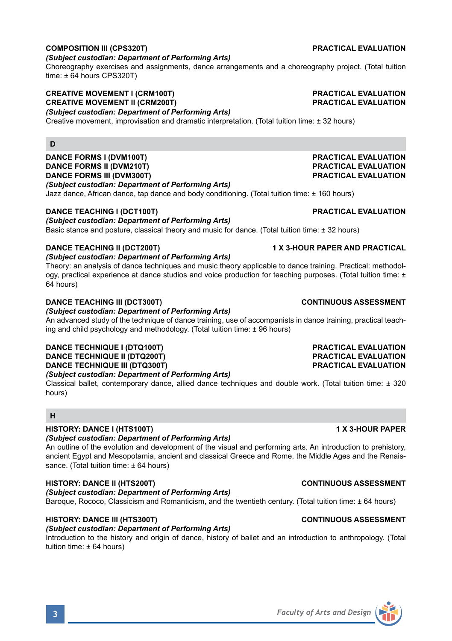## **COMPOSITION III (CPS320T) PRACTICAL EVALUATION**

### *(Subject custodian: Department of Performing Arts)*

Choreography exercises and assignments, dance arrangements and a choreography project. (Total tuition time: ± 64 hours CPS320T)

### **CREATIVE MOVEMENT I (CRM100T) PRACTICAL EVALUATION CREATIVE MOVEMENT II (CRM200T)**

*(Subject custodian: Department of Performing Arts)*

Creative movement, improvisation and dramatic interpretation. (Total tuition time: ± 32 hours)

### **D**

**DANCE FORMS I (DVM100T) PRACTICAL EVALUATION DANCE FORMS II (DVM210T) PRACTICAL EVALUATION DANCE FORMS III (DVM300T)** *(Subject custodian: Department of Performing Arts)*

Jazz dance, African dance, tap dance and body conditioning. (Total tuition time: ± 160 hours)

### **DANCE TEACHING I (DCT100T) PRACTICAL EVALUATION**

### *(Subject custodian: Department of Performing Arts)*

Basic stance and posture, classical theory and music for dance. (Total tuition time: ± 32 hours)

### **DANCE TEACHING II (DCT200T) 1 X 3-HOUR PAPER AND PRACTICAL**

*(Subject custodian: Department of Performing Arts)*

Theory: an analysis of dance techniques and music theory applicable to dance training. Practical: methodology, practical experience at dance studios and voice production for teaching purposes. (Total tuition time: ± 64 hours)

### **DANCE TEACHING III (DCT300T) CONTINUOUS ASSESSMENT**

*(Subject custodian: Department of Performing Arts)*

An advanced study of the technique of dance training, use of accompanists in dance training, practical teaching and child psychology and methodology. (Total tuition time: ± 96 hours)

### **DANCE TECHNIQUE I (DTQ100T) PRACTICAL EVALUATION DANCE TECHNIQUE II (DTQ200T) PRACTICAL EVALUATION DANCE TECHNIQUE III (DTQ300T)**

### *(Subject custodian: Department of Performing Arts)*

Classical ballet, contemporary dance, allied dance techniques and double work. (Total tuition time: ± 320 hours)

### **H**

### **HISTORY: DANCE I (HTS100T) 1 X 3-HOUR PAPER**

## *(Subject custodian: Department of Performing Arts)*

An outline of the evolution and development of the visual and performing arts. An introduction to prehistory, ancient Egypt and Mesopotamia, ancient and classical Greece and Rome, the Middle Ages and the Renaissance. (Total tuition time: ± 64 hours)

## **HISTORY: DANCE II (HTS200T) CONTINUOUS ASSESSMENT**

*(Subject custodian: Department of Performing Arts)*

Baroque, Rococo, Classicism and Romanticism, and the twentieth century. (Total tuition time: ± 64 hours)

## **HISTORY: DANCE III (HTS300T) CONTINUOUS ASSESSMENT**

### *(Subject custodian: Department of Performing Arts)*

Introduction to the history and origin of dance, history of ballet and an introduction to anthropology. (Total tuition time: ± 64 hours)